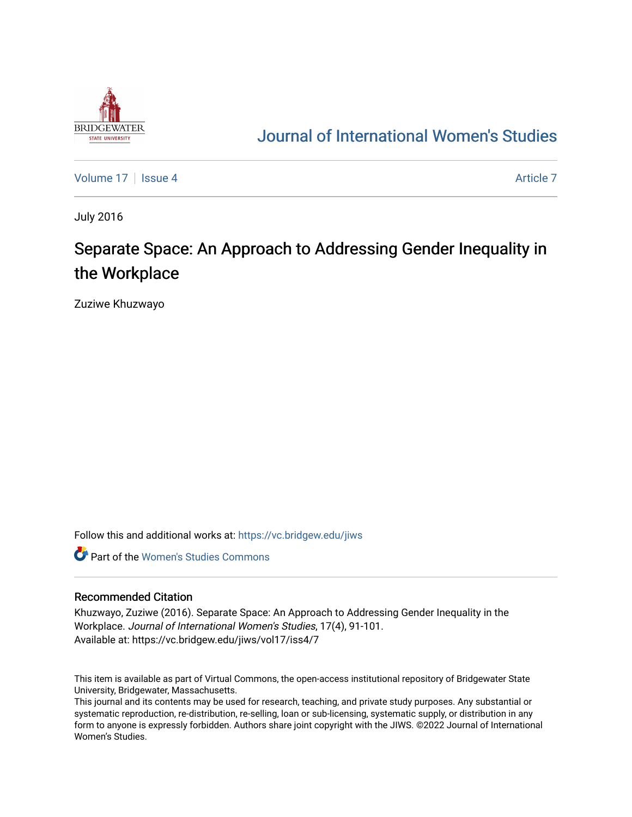

## [Journal of International Women's Studies](https://vc.bridgew.edu/jiws)

[Volume 17](https://vc.bridgew.edu/jiws/vol17) Setup 4 [Article 7](https://vc.bridgew.edu/jiws/vol17/iss4/7) Article 7 Article 7

July 2016

# Separate Space: An Approach to Addressing Gender Inequality in the Workplace

Zuziwe Khuzwayo

Follow this and additional works at: [https://vc.bridgew.edu/jiws](https://vc.bridgew.edu/jiws?utm_source=vc.bridgew.edu%2Fjiws%2Fvol17%2Fiss4%2F7&utm_medium=PDF&utm_campaign=PDFCoverPages)

**C** Part of the Women's Studies Commons

#### Recommended Citation

Khuzwayo, Zuziwe (2016). Separate Space: An Approach to Addressing Gender Inequality in the Workplace. Journal of International Women's Studies, 17(4), 91-101. Available at: https://vc.bridgew.edu/jiws/vol17/iss4/7

This item is available as part of Virtual Commons, the open-access institutional repository of Bridgewater State University, Bridgewater, Massachusetts.

This journal and its contents may be used for research, teaching, and private study purposes. Any substantial or systematic reproduction, re-distribution, re-selling, loan or sub-licensing, systematic supply, or distribution in any form to anyone is expressly forbidden. Authors share joint copyright with the JIWS. ©2022 Journal of International Women's Studies.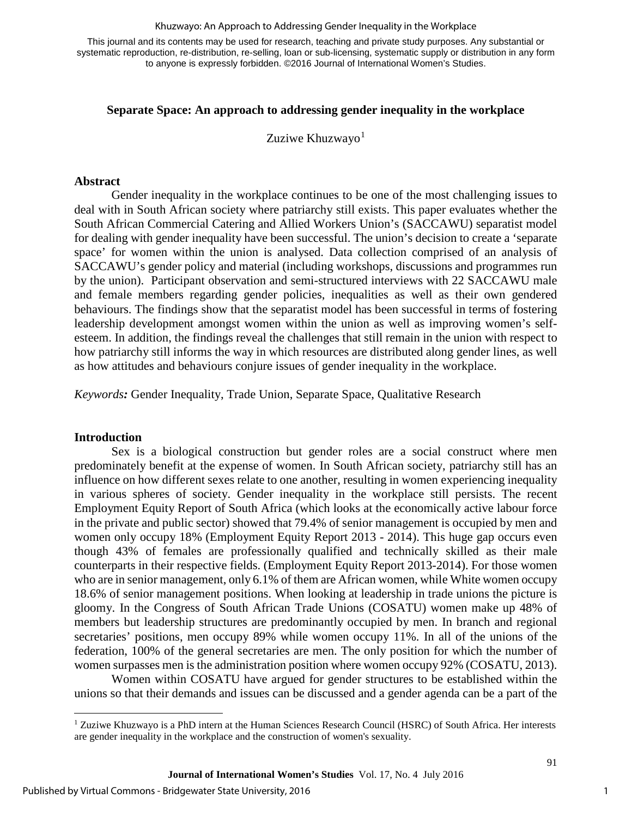#### Khuzwayo: An Approach to Addressing Gender Inequality in the Workplace

This journal and its contents may be used for research, teaching and private study purposes. Any substantial or systematic reproduction, re-distribution, re-selling, loan or sub-licensing, systematic supply or distribution in any form to anyone is expressly forbidden. ©2016 Journal of International Women's Studies.

### **Separate Space: An approach to addressing gender inequality in the workplace**

Zuziwe Khuzwayo $1$ 

#### **Abstract**

Gender inequality in the workplace continues to be one of the most challenging issues to deal with in South African society where patriarchy still exists. This paper evaluates whether the South African Commercial Catering and Allied Workers Union's (SACCAWU) separatist model for dealing with gender inequality have been successful. The union's decision to create a 'separate space' for women within the union is analysed. Data collection comprised of an analysis of SACCAWU's gender policy and material (including workshops, discussions and programmes run by the union). Participant observation and semi-structured interviews with 22 SACCAWU male and female members regarding gender policies, inequalities as well as their own gendered behaviours. The findings show that the separatist model has been successful in terms of fostering leadership development amongst women within the union as well as improving women's selfesteem. In addition, the findings reveal the challenges that still remain in the union with respect to how patriarchy still informs the way in which resources are distributed along gender lines, as well as how attitudes and behaviours conjure issues of gender inequality in the workplace.

*Keywords:* Gender Inequality, Trade Union, Separate Space, Qualitative Research

#### **Introduction**

l

Sex is a biological construction but gender roles are a social construct where men predominately benefit at the expense of women. In South African society, patriarchy still has an influence on how different sexes relate to one another, resulting in women experiencing inequality in various spheres of society. Gender inequality in the workplace still persists. The recent Employment Equity Report of South Africa (which looks at the economically active labour force in the private and public sector) showed that 79.4% of senior management is occupied by men and women only occupy 18% (Employment Equity Report 2013 - 2014). This huge gap occurs even though 43% of females are professionally qualified and technically skilled as their male counterparts in their respective fields. (Employment Equity Report 2013-2014). For those women who are in senior management, only 6.1% of them are African women, while White women occupy 18.6% of senior management positions. When looking at leadership in trade unions the picture is gloomy. In the Congress of South African Trade Unions (COSATU) women make up 48% of members but leadership structures are predominantly occupied by men. In branch and regional secretaries' positions, men occupy 89% while women occupy 11%. In all of the unions of the federation, 100% of the general secretaries are men. The only position for which the number of women surpasses men is the administration position where women occupy 92% (COSATU, 2013).

Women within COSATU have argued for gender structures to be established within the unions so that their demands and issues can be discussed and a gender agenda can be a part of the

<span id="page-1-0"></span><sup>1</sup> Zuziwe Khuzwayo is a PhD intern at the Human Sciences Research Council (HSRC) of South Africa. Her interests are gender inequality in the workplace and the construction of women's sexuality.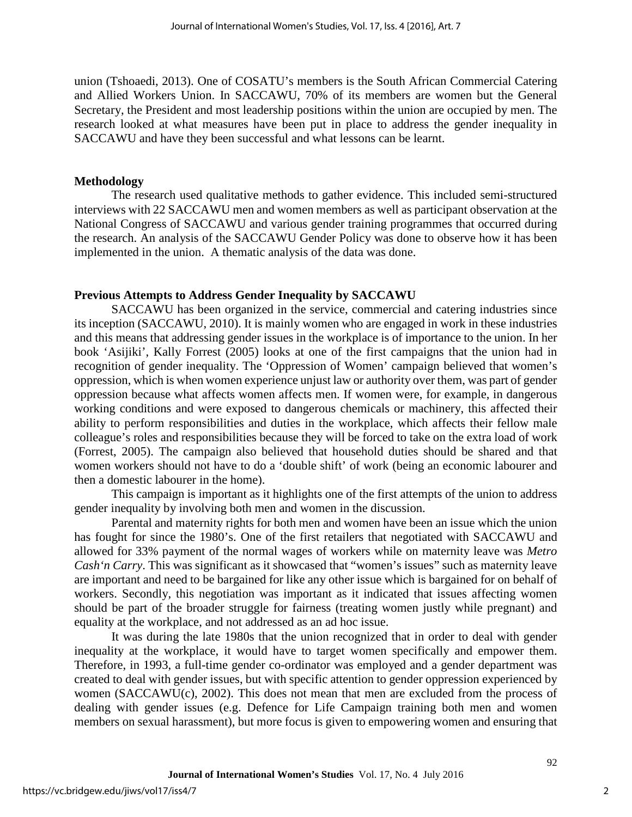union (Tshoaedi, 2013). One of COSATU's members is the South African Commercial Catering and Allied Workers Union. In SACCAWU, 70% of its members are women but the General Secretary, the President and most leadership positions within the union are occupied by men. The research looked at what measures have been put in place to address the gender inequality in SACCAWU and have they been successful and what lessons can be learnt.

#### **Methodology**

The research used qualitative methods to gather evidence. This included semi-structured interviews with 22 SACCAWU men and women members as well as participant observation at the National Congress of SACCAWU and various gender training programmes that occurred during the research. An analysis of the SACCAWU Gender Policy was done to observe how it has been implemented in the union. A thematic analysis of the data was done.

### **Previous Attempts to Address Gender Inequality by SACCAWU**

SACCAWU has been organized in the service, commercial and catering industries since its inception (SACCAWU, 2010). It is mainly women who are engaged in work in these industries and this means that addressing gender issues in the workplace is of importance to the union. In her book 'Asijiki', Kally Forrest (2005) looks at one of the first campaigns that the union had in recognition of gender inequality. The 'Oppression of Women' campaign believed that women's oppression, which is when women experience unjust law or authority over them, was part of gender oppression because what affects women affects men. If women were, for example, in dangerous working conditions and were exposed to dangerous chemicals or machinery, this affected their ability to perform responsibilities and duties in the workplace, which affects their fellow male colleague's roles and responsibilities because they will be forced to take on the extra load of work (Forrest, 2005). The campaign also believed that household duties should be shared and that women workers should not have to do a 'double shift' of work (being an economic labourer and then a domestic labourer in the home).

This campaign is important as it highlights one of the first attempts of the union to address gender inequality by involving both men and women in the discussion.

Parental and maternity rights for both men and women have been an issue which the union has fought for since the 1980's. One of the first retailers that negotiated with SACCAWU and allowed for 33% payment of the normal wages of workers while on maternity leave was *Metro Cash'n Carry*. This was significant as it showcased that "women's issues" such as maternity leave are important and need to be bargained for like any other issue which is bargained for on behalf of workers. Secondly, this negotiation was important as it indicated that issues affecting women should be part of the broader struggle for fairness (treating women justly while pregnant) and equality at the workplace, and not addressed as an ad hoc issue.

It was during the late 1980s that the union recognized that in order to deal with gender inequality at the workplace, it would have to target women specifically and empower them. Therefore, in 1993, a full-time gender co-ordinator was employed and a gender department was created to deal with gender issues, but with specific attention to gender oppression experienced by women (SACCAWU(c), 2002). This does not mean that men are excluded from the process of dealing with gender issues (e.g. Defence for Life Campaign training both men and women members on sexual harassment), but more focus is given to empowering women and ensuring that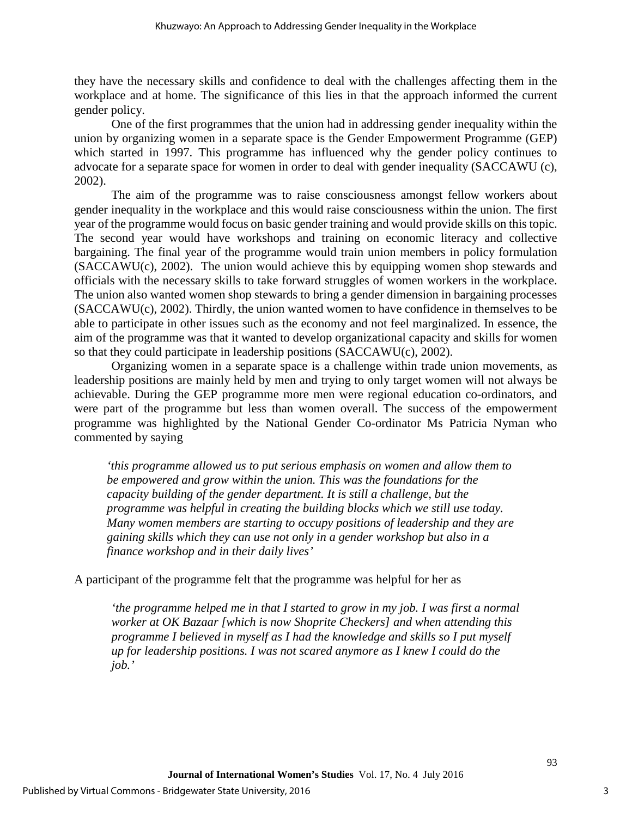they have the necessary skills and confidence to deal with the challenges affecting them in the workplace and at home. The significance of this lies in that the approach informed the current gender policy.

One of the first programmes that the union had in addressing gender inequality within the union by organizing women in a separate space is the Gender Empowerment Programme (GEP) which started in 1997. This programme has influenced why the gender policy continues to advocate for a separate space for women in order to deal with gender inequality (SACCAWU (c), 2002).

The aim of the programme was to raise consciousness amongst fellow workers about gender inequality in the workplace and this would raise consciousness within the union. The first year of the programme would focus on basic gender training and would provide skills on this topic. The second year would have workshops and training on economic literacy and collective bargaining. The final year of the programme would train union members in policy formulation (SACCAWU(c), 2002). The union would achieve this by equipping women shop stewards and officials with the necessary skills to take forward struggles of women workers in the workplace. The union also wanted women shop stewards to bring a gender dimension in bargaining processes (SACCAWU(c), 2002). Thirdly, the union wanted women to have confidence in themselves to be able to participate in other issues such as the economy and not feel marginalized. In essence, the aim of the programme was that it wanted to develop organizational capacity and skills for women so that they could participate in leadership positions (SACCAWU(c), 2002).

Organizing women in a separate space is a challenge within trade union movements, as leadership positions are mainly held by men and trying to only target women will not always be achievable. During the GEP programme more men were regional education co-ordinators, and were part of the programme but less than women overall. The success of the empowerment programme was highlighted by the National Gender Co-ordinator Ms Patricia Nyman who commented by saying

*'this programme allowed us to put serious emphasis on women and allow them to be empowered and grow within the union. This was the foundations for the capacity building of the gender department. It is still a challenge, but the programme was helpful in creating the building blocks which we still use today. Many women members are starting to occupy positions of leadership and they are gaining skills which they can use not only in a gender workshop but also in a finance workshop and in their daily lives'* 

A participant of the programme felt that the programme was helpful for her as

*'the programme helped me in that I started to grow in my job. I was first a normal worker at OK Bazaar [which is now Shoprite Checkers] and when attending this programme I believed in myself as I had the knowledge and skills so I put myself up for leadership positions. I was not scared anymore as I knew I could do the job.'*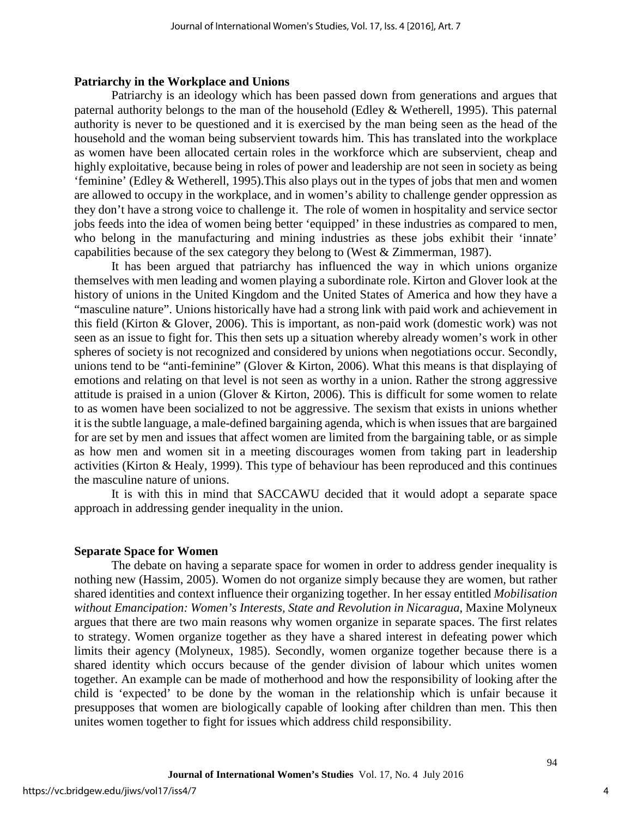#### **Patriarchy in the Workplace and Unions**

Patriarchy is an ideology which has been passed down from generations and argues that paternal authority belongs to the man of the household (Edley & Wetherell, 1995). This paternal authority is never to be questioned and it is exercised by the man being seen as the head of the household and the woman being subservient towards him. This has translated into the workplace as women have been allocated certain roles in the workforce which are subservient, cheap and highly exploitative, because being in roles of power and leadership are not seen in society as being 'feminine' (Edley & Wetherell, 1995).This also plays out in the types of jobs that men and women are allowed to occupy in the workplace, and in women's ability to challenge gender oppression as they don't have a strong voice to challenge it. The role of women in hospitality and service sector jobs feeds into the idea of women being better 'equipped' in these industries as compared to men, who belong in the manufacturing and mining industries as these jobs exhibit their 'innate' capabilities because of the sex category they belong to (West & Zimmerman, 1987).

It has been argued that patriarchy has influenced the way in which unions organize themselves with men leading and women playing a subordinate role. Kirton and Glover look at the history of unions in the United Kingdom and the United States of America and how they have a "masculine nature". Unions historically have had a strong link with paid work and achievement in this field (Kirton & Glover, 2006). This is important, as non-paid work (domestic work) was not seen as an issue to fight for. This then sets up a situation whereby already women's work in other spheres of society is not recognized and considered by unions when negotiations occur. Secondly, unions tend to be "anti-feminine" (Glover & Kirton, 2006). What this means is that displaying of emotions and relating on that level is not seen as worthy in a union. Rather the strong aggressive attitude is praised in a union (Glover & Kirton, 2006). This is difficult for some women to relate to as women have been socialized to not be aggressive. The sexism that exists in unions whether it is the subtle language, a male-defined bargaining agenda, which is when issues that are bargained for are set by men and issues that affect women are limited from the bargaining table, or as simple as how men and women sit in a meeting discourages women from taking part in leadership activities (Kirton & Healy, 1999). This type of behaviour has been reproduced and this continues the masculine nature of unions.

It is with this in mind that SACCAWU decided that it would adopt a separate space approach in addressing gender inequality in the union.

#### **Separate Space for Women**

The debate on having a separate space for women in order to address gender inequality is nothing new (Hassim, 2005). Women do not organize simply because they are women, but rather shared identities and context influence their organizing together. In her essay entitled *Mobilisation without Emancipation: Women's Interests, State and Revolution in Nicaragua*, Maxine Molyneux argues that there are two main reasons why women organize in separate spaces. The first relates to strategy. Women organize together as they have a shared interest in defeating power which limits their agency (Molyneux, 1985). Secondly, women organize together because there is a shared identity which occurs because of the gender division of labour which unites women together. An example can be made of motherhood and how the responsibility of looking after the child is 'expected' to be done by the woman in the relationship which is unfair because it presupposes that women are biologically capable of looking after children than men. This then unites women together to fight for issues which address child responsibility.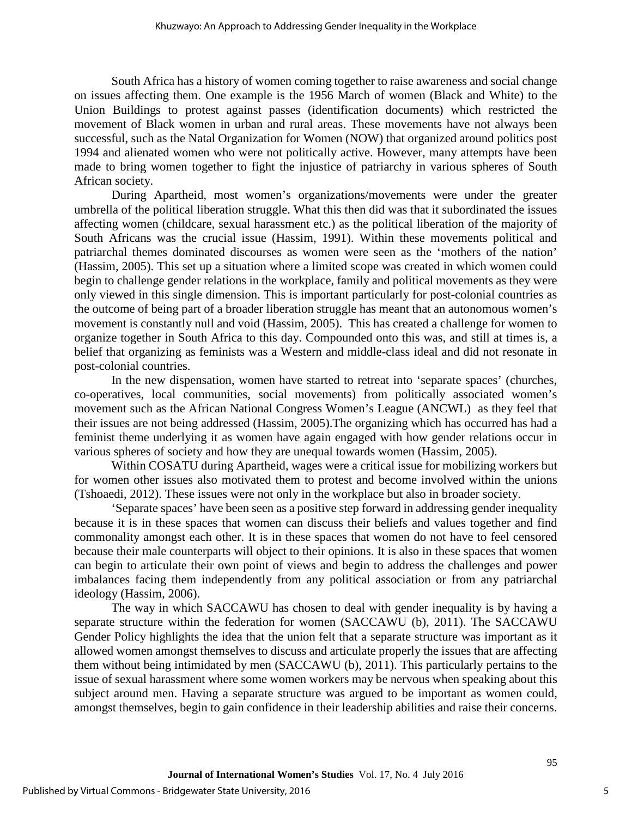South Africa has a history of women coming together to raise awareness and social change on issues affecting them. One example is the 1956 March of women (Black and White) to the Union Buildings to protest against passes (identification documents) which restricted the movement of Black women in urban and rural areas. These movements have not always been successful, such as the Natal Organization for Women (NOW) that organized around politics post 1994 and alienated women who were not politically active. However, many attempts have been made to bring women together to fight the injustice of patriarchy in various spheres of South African society.

During Apartheid, most women's organizations/movements were under the greater umbrella of the political liberation struggle. What this then did was that it subordinated the issues affecting women (childcare, sexual harassment etc.) as the political liberation of the majority of South Africans was the crucial issue (Hassim, 1991). Within these movements political and patriarchal themes dominated discourses as women were seen as the 'mothers of the nation' (Hassim, 2005). This set up a situation where a limited scope was created in which women could begin to challenge gender relations in the workplace, family and political movements as they were only viewed in this single dimension. This is important particularly for post-colonial countries as the outcome of being part of a broader liberation struggle has meant that an autonomous women's movement is constantly null and void (Hassim, 2005). This has created a challenge for women to organize together in South Africa to this day. Compounded onto this was, and still at times is, a belief that organizing as feminists was a Western and middle-class ideal and did not resonate in post-colonial countries.

In the new dispensation, women have started to retreat into 'separate spaces' (churches, co-operatives, local communities, social movements) from politically associated women's movement such as the African National Congress Women's League (ANCWL) as they feel that their issues are not being addressed (Hassim, 2005).The organizing which has occurred has had a feminist theme underlying it as women have again engaged with how gender relations occur in various spheres of society and how they are unequal towards women (Hassim, 2005).

Within COSATU during Apartheid, wages were a critical issue for mobilizing workers but for women other issues also motivated them to protest and become involved within the unions (Tshoaedi, 2012). These issues were not only in the workplace but also in broader society.

'Separate spaces' have been seen as a positive step forward in addressing gender inequality because it is in these spaces that women can discuss their beliefs and values together and find commonality amongst each other. It is in these spaces that women do not have to feel censored because their male counterparts will object to their opinions. It is also in these spaces that women can begin to articulate their own point of views and begin to address the challenges and power imbalances facing them independently from any political association or from any patriarchal ideology (Hassim, 2006).

The way in which SACCAWU has chosen to deal with gender inequality is by having a separate structure within the federation for women (SACCAWU (b), 2011). The SACCAWU Gender Policy highlights the idea that the union felt that a separate structure was important as it allowed women amongst themselves to discuss and articulate properly the issues that are affecting them without being intimidated by men (SACCAWU (b), 2011). This particularly pertains to the issue of sexual harassment where some women workers may be nervous when speaking about this subject around men. Having a separate structure was argued to be important as women could, amongst themselves, begin to gain confidence in their leadership abilities and raise their concerns.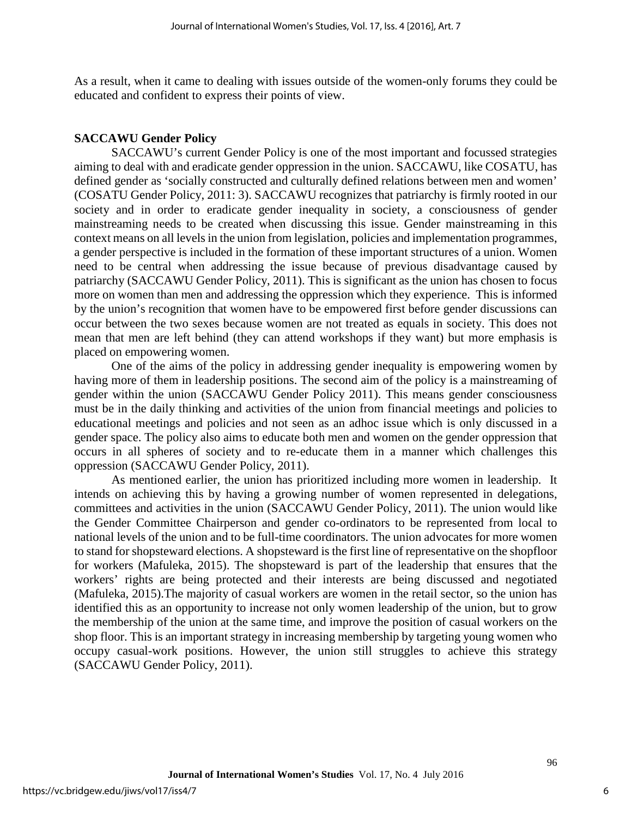As a result, when it came to dealing with issues outside of the women-only forums they could be educated and confident to express their points of view.

## **SACCAWU Gender Policy**

SACCAWU's current Gender Policy is one of the most important and focussed strategies aiming to deal with and eradicate gender oppression in the union. SACCAWU, like COSATU, has defined gender as 'socially constructed and culturally defined relations between men and women' (COSATU Gender Policy, 2011: 3). SACCAWU recognizes that patriarchy is firmly rooted in our society and in order to eradicate gender inequality in society, a consciousness of gender mainstreaming needs to be created when discussing this issue. Gender mainstreaming in this context means on all levels in the union from legislation, policies and implementation programmes, a gender perspective is included in the formation of these important structures of a union. Women need to be central when addressing the issue because of previous disadvantage caused by patriarchy (SACCAWU Gender Policy, 2011). This is significant as the union has chosen to focus more on women than men and addressing the oppression which they experience. This is informed by the union's recognition that women have to be empowered first before gender discussions can occur between the two sexes because women are not treated as equals in society. This does not mean that men are left behind (they can attend workshops if they want) but more emphasis is placed on empowering women.

One of the aims of the policy in addressing gender inequality is empowering women by having more of them in leadership positions. The second aim of the policy is a mainstreaming of gender within the union (SACCAWU Gender Policy 2011). This means gender consciousness must be in the daily thinking and activities of the union from financial meetings and policies to educational meetings and policies and not seen as an adhoc issue which is only discussed in a gender space. The policy also aims to educate both men and women on the gender oppression that occurs in all spheres of society and to re-educate them in a manner which challenges this oppression (SACCAWU Gender Policy, 2011).

As mentioned earlier, the union has prioritized including more women in leadership. It intends on achieving this by having a growing number of women represented in delegations, committees and activities in the union (SACCAWU Gender Policy, 2011). The union would like the Gender Committee Chairperson and gender co-ordinators to be represented from local to national levels of the union and to be full-time coordinators. The union advocates for more women to stand for shopsteward elections. A shopsteward is the first line of representative on the shopfloor for workers (Mafuleka, 2015). The shopsteward is part of the leadership that ensures that the workers' rights are being protected and their interests are being discussed and negotiated (Mafuleka, 2015).The majority of casual workers are women in the retail sector, so the union has identified this as an opportunity to increase not only women leadership of the union, but to grow the membership of the union at the same time, and improve the position of casual workers on the shop floor. This is an important strategy in increasing membership by targeting young women who occupy casual-work positions. However, the union still struggles to achieve this strategy (SACCAWU Gender Policy, 2011).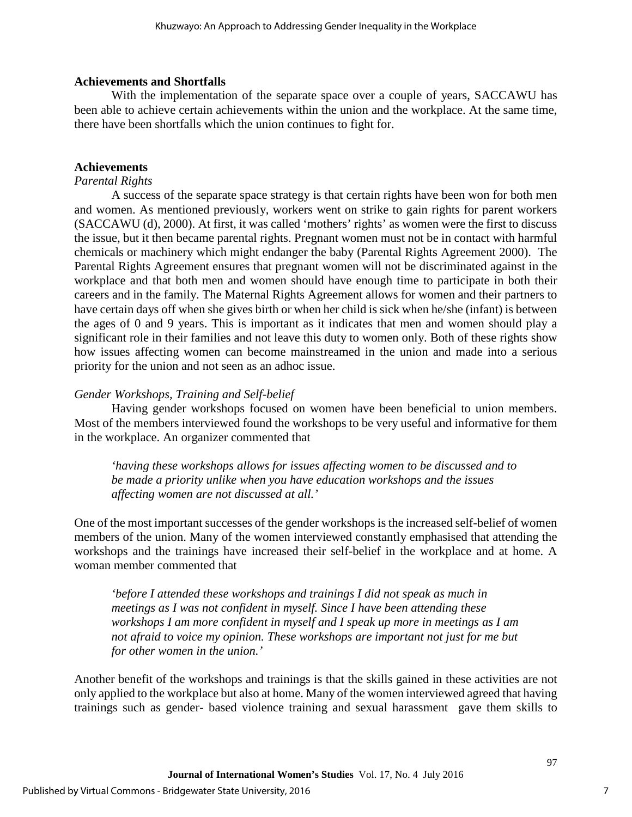## **Achievements and Shortfalls**

With the implementation of the separate space over a couple of years, SACCAWU has been able to achieve certain achievements within the union and the workplace. At the same time, there have been shortfalls which the union continues to fight for.

## **Achievements**

## *Parental Rights*

A success of the separate space strategy is that certain rights have been won for both men and women. As mentioned previously, workers went on strike to gain rights for parent workers (SACCAWU (d), 2000). At first, it was called 'mothers' rights' as women were the first to discuss the issue, but it then became parental rights. Pregnant women must not be in contact with harmful chemicals or machinery which might endanger the baby (Parental Rights Agreement 2000). The Parental Rights Agreement ensures that pregnant women will not be discriminated against in the workplace and that both men and women should have enough time to participate in both their careers and in the family. The Maternal Rights Agreement allows for women and their partners to have certain days off when she gives birth or when her child is sick when he/she (infant) is between the ages of 0 and 9 years. This is important as it indicates that men and women should play a significant role in their families and not leave this duty to women only. Both of these rights show how issues affecting women can become mainstreamed in the union and made into a serious priority for the union and not seen as an adhoc issue.

## *Gender Workshops, Training and Self-belief*

Having gender workshops focused on women have been beneficial to union members. Most of the members interviewed found the workshops to be very useful and informative for them in the workplace. An organizer commented that

*'having these workshops allows for issues affecting women to be discussed and to be made a priority unlike when you have education workshops and the issues affecting women are not discussed at all.'*

One of the most important successes of the gender workshops is the increased self-belief of women members of the union. Many of the women interviewed constantly emphasised that attending the workshops and the trainings have increased their self-belief in the workplace and at home. A woman member commented that

*'before I attended these workshops and trainings I did not speak as much in meetings as I was not confident in myself. Since I have been attending these workshops I am more confident in myself and I speak up more in meetings as I am not afraid to voice my opinion. These workshops are important not just for me but for other women in the union.'* 

Another benefit of the workshops and trainings is that the skills gained in these activities are not only applied to the workplace but also at home. Many of the women interviewed agreed that having trainings such as gender- based violence training and sexual harassment gave them skills to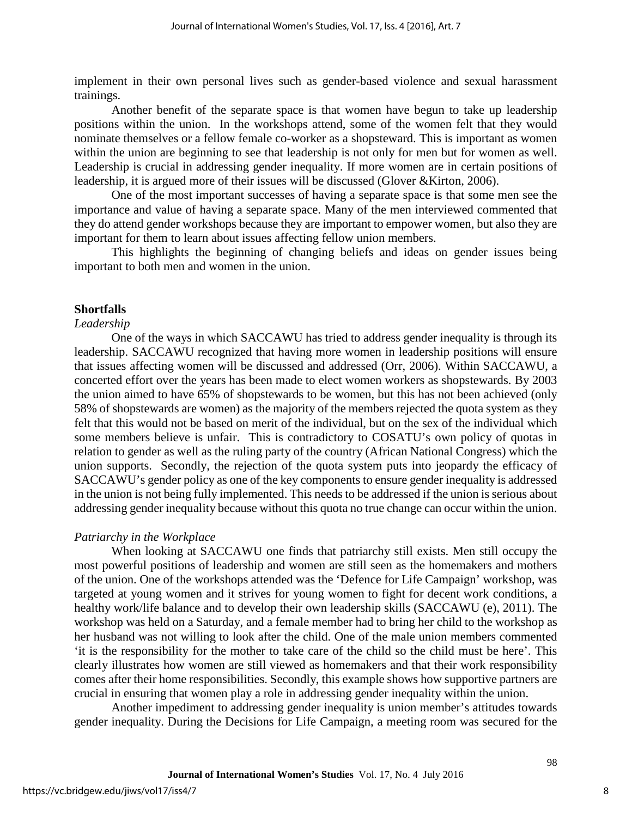implement in their own personal lives such as gender-based violence and sexual harassment trainings.

Another benefit of the separate space is that women have begun to take up leadership positions within the union. In the workshops attend, some of the women felt that they would nominate themselves or a fellow female co-worker as a shopsteward. This is important as women within the union are beginning to see that leadership is not only for men but for women as well. Leadership is crucial in addressing gender inequality. If more women are in certain positions of leadership, it is argued more of their issues will be discussed (Glover &Kirton, 2006).

One of the most important successes of having a separate space is that some men see the importance and value of having a separate space. Many of the men interviewed commented that they do attend gender workshops because they are important to empower women, but also they are important for them to learn about issues affecting fellow union members.

This highlights the beginning of changing beliefs and ideas on gender issues being important to both men and women in the union.

## **Shortfalls**

#### *Leadership*

One of the ways in which SACCAWU has tried to address gender inequality is through its leadership. SACCAWU recognized that having more women in leadership positions will ensure that issues affecting women will be discussed and addressed (Orr, 2006). Within SACCAWU, a concerted effort over the years has been made to elect women workers as shopstewards. By 2003 the union aimed to have 65% of shopstewards to be women, but this has not been achieved (only 58% of shopstewards are women) as the majority of the members rejected the quota system as they felt that this would not be based on merit of the individual, but on the sex of the individual which some members believe is unfair. This is contradictory to COSATU's own policy of quotas in relation to gender as well as the ruling party of the country (African National Congress) which the union supports. Secondly, the rejection of the quota system puts into jeopardy the efficacy of SACCAWU's gender policy as one of the key components to ensure gender inequality is addressed in the union is not being fully implemented. This needs to be addressed if the union is serious about addressing gender inequality because without this quota no true change can occur within the union.

#### *Patriarchy in the Workplace*

When looking at SACCAWU one finds that patriarchy still exists. Men still occupy the most powerful positions of leadership and women are still seen as the homemakers and mothers of the union. One of the workshops attended was the 'Defence for Life Campaign' workshop, was targeted at young women and it strives for young women to fight for decent work conditions, a healthy work/life balance and to develop their own leadership skills (SACCAWU (e), 2011). The workshop was held on a Saturday, and a female member had to bring her child to the workshop as her husband was not willing to look after the child. One of the male union members commented 'it is the responsibility for the mother to take care of the child so the child must be here'. This clearly illustrates how women are still viewed as homemakers and that their work responsibility comes after their home responsibilities. Secondly, this example shows how supportive partners are crucial in ensuring that women play a role in addressing gender inequality within the union.

Another impediment to addressing gender inequality is union member's attitudes towards gender inequality. During the Decisions for Life Campaign, a meeting room was secured for the

8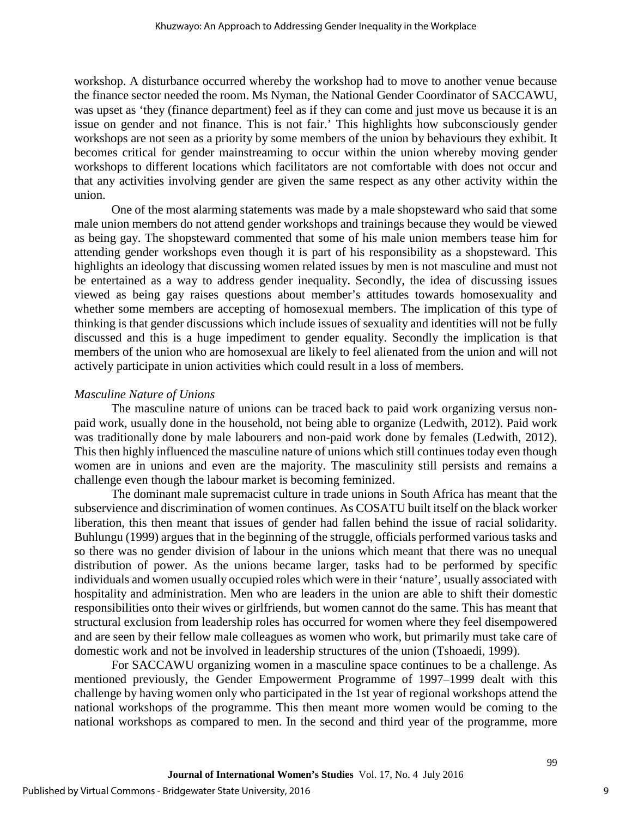workshop. A disturbance occurred whereby the workshop had to move to another venue because the finance sector needed the room. Ms Nyman, the National Gender Coordinator of SACCAWU, was upset as 'they (finance department) feel as if they can come and just move us because it is an issue on gender and not finance. This is not fair.' This highlights how subconsciously gender workshops are not seen as a priority by some members of the union by behaviours they exhibit. It becomes critical for gender mainstreaming to occur within the union whereby moving gender workshops to different locations which facilitators are not comfortable with does not occur and that any activities involving gender are given the same respect as any other activity within the union.

One of the most alarming statements was made by a male shopsteward who said that some male union members do not attend gender workshops and trainings because they would be viewed as being gay. The shopsteward commented that some of his male union members tease him for attending gender workshops even though it is part of his responsibility as a shopsteward. This highlights an ideology that discussing women related issues by men is not masculine and must not be entertained as a way to address gender inequality. Secondly, the idea of discussing issues viewed as being gay raises questions about member's attitudes towards homosexuality and whether some members are accepting of homosexual members. The implication of this type of thinking is that gender discussions which include issues of sexuality and identities will not be fully discussed and this is a huge impediment to gender equality. Secondly the implication is that members of the union who are homosexual are likely to feel alienated from the union and will not actively participate in union activities which could result in a loss of members.

## *Masculine Nature of Unions*

The masculine nature of unions can be traced back to paid work organizing versus nonpaid work, usually done in the household, not being able to organize (Ledwith, 2012). Paid work was traditionally done by male labourers and non-paid work done by females (Ledwith, 2012). This then highly influenced the masculine nature of unions which still continues today even though women are in unions and even are the majority. The masculinity still persists and remains a challenge even though the labour market is becoming feminized.

 The dominant male supremacist culture in trade unions in South Africa has meant that the subservience and discrimination of women continues. As COSATU built itself on the black worker liberation, this then meant that issues of gender had fallen behind the issue of racial solidarity. Buhlungu (1999) argues that in the beginning of the struggle, officials performed various tasks and so there was no gender division of labour in the unions which meant that there was no unequal distribution of power. As the unions became larger, tasks had to be performed by specific individuals and women usually occupied roles which were in their 'nature', usually associated with hospitality and administration. Men who are leaders in the union are able to shift their domestic responsibilities onto their wives or girlfriends, but women cannot do the same. This has meant that structural exclusion from leadership roles has occurred for women where they feel disempowered and are seen by their fellow male colleagues as women who work, but primarily must take care of domestic work and not be involved in leadership structures of the union (Tshoaedi, 1999).

For SACCAWU organizing women in a masculine space continues to be a challenge. As mentioned previously, the Gender Empowerment Programme of 1997–1999 dealt with this challenge by having women only who participated in the 1st year of regional workshops attend the national workshops of the programme. This then meant more women would be coming to the national workshops as compared to men. In the second and third year of the programme, more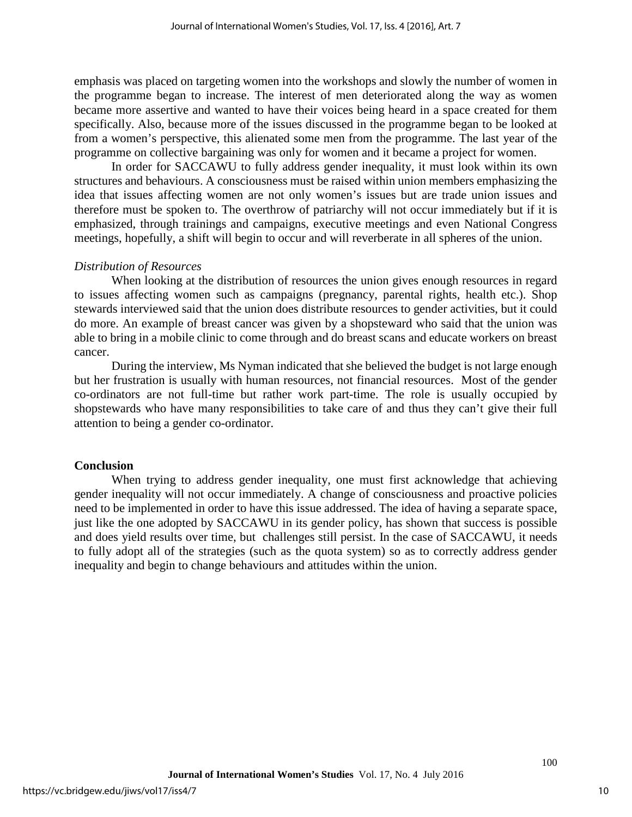emphasis was placed on targeting women into the workshops and slowly the number of women in the programme began to increase. The interest of men deteriorated along the way as women became more assertive and wanted to have their voices being heard in a space created for them specifically. Also, because more of the issues discussed in the programme began to be looked at from a women's perspective, this alienated some men from the programme. The last year of the programme on collective bargaining was only for women and it became a project for women.

In order for SACCAWU to fully address gender inequality, it must look within its own structures and behaviours. A consciousness must be raised within union members emphasizing the idea that issues affecting women are not only women's issues but are trade union issues and therefore must be spoken to. The overthrow of patriarchy will not occur immediately but if it is emphasized, through trainings and campaigns, executive meetings and even National Congress meetings, hopefully, a shift will begin to occur and will reverberate in all spheres of the union.

## *Distribution of Resources*

When looking at the distribution of resources the union gives enough resources in regard to issues affecting women such as campaigns (pregnancy, parental rights, health etc.). Shop stewards interviewed said that the union does distribute resources to gender activities, but it could do more. An example of breast cancer was given by a shopsteward who said that the union was able to bring in a mobile clinic to come through and do breast scans and educate workers on breast cancer.

During the interview, Ms Nyman indicated that she believed the budget is not large enough but her frustration is usually with human resources, not financial resources. Most of the gender co-ordinators are not full-time but rather work part-time. The role is usually occupied by shopstewards who have many responsibilities to take care of and thus they can't give their full attention to being a gender co-ordinator.

#### **Conclusion**

When trying to address gender inequality, one must first acknowledge that achieving gender inequality will not occur immediately. A change of consciousness and proactive policies need to be implemented in order to have this issue addressed. The idea of having a separate space, just like the one adopted by SACCAWU in its gender policy, has shown that success is possible and does yield results over time, but challenges still persist. In the case of SACCAWU, it needs to fully adopt all of the strategies (such as the quota system) so as to correctly address gender inequality and begin to change behaviours and attitudes within the union.